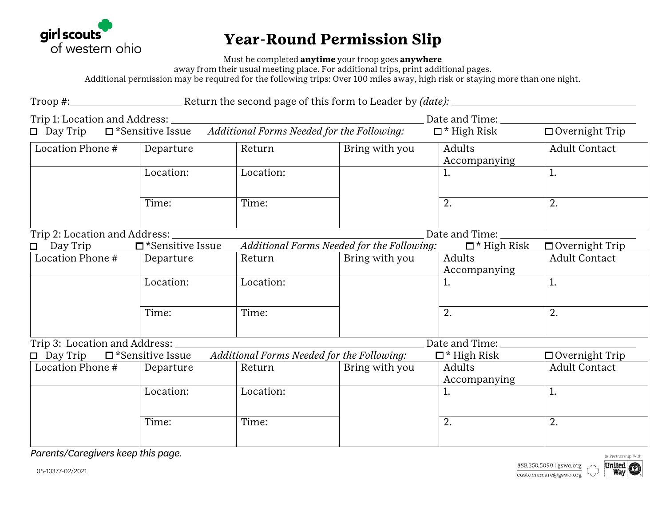

## **Year-Round Permission Slip**

Must be completed **anytime** your troop goes **anywhere**

away from their usual meeting place. For additional trips, print additional pages.

Additional permission may be required for the following trips: Over 100 miles away, high risk or staying more than one night.

Troop #: Troop #: Return the second page of this form to Leader by *(date):* Trip 1: Location and Address: 1. The contraction of the contraction of the contraction of the contraction of the contraction of the contraction of the contraction of the contraction of the contraction of the contraction of

Day Trip \*Sensitive Issue *Additional Forms Needed for the Following:* \* High Risk Overnight Trip Location Phone # Departure Return Bring with you Adults Accompanying Adult Contact Location:  $\vert$  Location:  $\vert$  1.  $\vert$  1.  $\vert$  1.  $\vert$  1. Time:  $\vert$  Time:  $\vert$  2.  $\vert$  2. Trip 2: Location and Address: Date and Time: Day Trip \*Sensitive Issue *Additional Forms Needed for the Following:* \* High Risk Overnight Trip Location Phone # Departure Return Bring with you Adults Accompanying Adult Contact Location:  $\vert$  Location:  $\vert$  1.  $\vert$  1.  $\vert$  1.  $\vert$  1.

Time:  $\vert$  Time:  $\vert$  2.  $\vert$  2. Trip 3: Location and Address: Date and Time:

| $\Box$ Day Trip  | $\Box$ *Sensitive Issue | Additional Forms Needed for the Following: |                | $\Box$ * High Risk | $\Box$ Overnight Trip |  |
|------------------|-------------------------|--------------------------------------------|----------------|--------------------|-----------------------|--|
| Location Phone # | Departure               | Return                                     | Bring with you | Adults             | <b>Adult Contact</b>  |  |
|                  |                         |                                            |                | Accompanying       |                       |  |
|                  | Location:               | Location:                                  |                |                    |                       |  |
|                  |                         |                                            |                |                    |                       |  |
|                  |                         |                                            |                |                    |                       |  |
|                  | Time:                   | Time:                                      |                | ٠.                 | <u>.</u>              |  |
|                  |                         |                                            |                |                    |                       |  |

*Parents/Caregivers keep this page.* 

888.350.5090 | gswo.org customercare@gswo.org